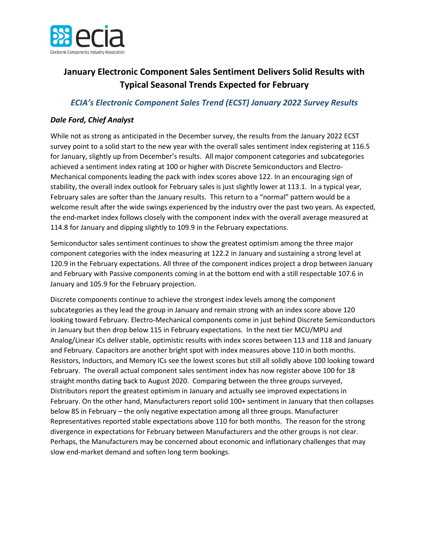

## **January Electronic Component Sales Sentiment Delivers Solid Results with Typical Seasonal Trends Expected for February**

## *ECIA's Electronic Component Sales Trend (ECST) January 2022 Survey Results*

## *Dale Ford, Chief Analyst*

While not as strong as anticipated in the December survey, the results from the January 2022 ECST survey point to a solid start to the new year with the overall sales sentiment index registering at 116.5 for January, slightly up from December's results. All major component categories and subcategories achieved a sentiment index rating at 100 or higher with Discrete Semiconductors and Electro-Mechanical components leading the pack with index scores above 122. In an encouraging sign of stability, the overall index outlook for February sales is just slightly lower at 113.1. In a typical year, February sales are softer than the January results. This return to a "normal" pattern would be a welcome result after the wide swings experienced by the industry over the past two years. As expected, the end-market index follows closely with the component index with the overall average measured at 114.8 for January and dipping slightly to 109.9 in the February expectations.

Semiconductor sales sentiment continues to show the greatest optimism among the three major component categories with the index measuring at 122.2 in January and sustaining a strong level at 120.9 in the February expectations. All three of the component indices project a drop between January and February with Passive components coming in at the bottom end with a still respectable 107.6 in January and 105.9 for the February projection.

Discrete components continue to achieve the strongest index levels among the component subcategories as they lead the group in January and remain strong with an index score above 120 looking toward February. Electro-Mechanical components come in just behind Discrete Semiconductors in January but then drop below 115 in February expectations. In the next tier MCU/MPU and Analog/Linear ICs deliver stable, optimistic results with index scores between 113 and 118 and January and February. Capacitors are another bright spot with index measures above 110 in both months. Resistors, Inductors, and Memory ICs see the lowest scores but still all solidly above 100 looking toward February. The overall actual component sales sentiment index has now register above 100 for 18 straight months dating back to August 2020. Comparing between the three groups surveyed, Distributors report the greatest optimism in January and actually see improved expectations in February. On the other hand, Manufacturers report solid 100+ sentiment in January that then collapses below 85 in February – the only negative expectation among all three groups. Manufacturer Representatives reported stable expectations above 110 for both months. The reason for the strong divergence in expectations for February between Manufacturers and the other groups is not clear. Perhaps, the Manufacturers may be concerned about economic and inflationary challenges that may slow end-market demand and soften long term bookings.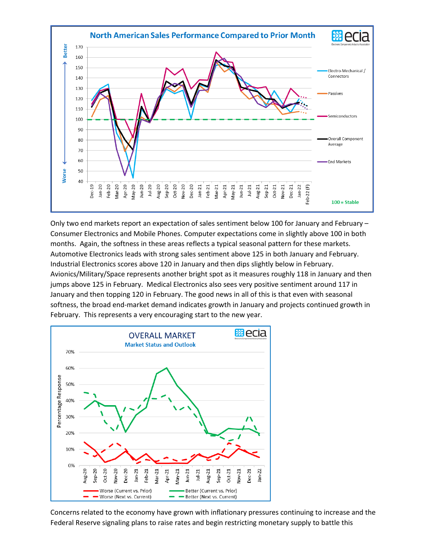

Only two end markets report an expectation of sales sentiment below 100 for January and February – Consumer Electronics and Mobile Phones. Computer expectations come in slightly above 100 in both months. Again, the softness in these areas reflects a typical seasonal pattern for these markets. Automotive Electronics leads with strong sales sentiment above 125 in both January and February. Industrial Electronics scores above 120 in January and then dips slightly below in February. Avionics/Military/Space represents another bright spot as it measures roughly 118 in January and then jumps above 125 in February. Medical Electronics also sees very positive sentiment around 117 in January and then topping 120 in February. The good news in all of this is that even with seasonal softness, the broad end-market demand indicates growth in January and projects continued growth in February. This represents a very encouraging start to the new year.



Concerns related to the economy have grown with inflationary pressures continuing to increase and the Federal Reserve signaling plans to raise rates and begin restricting monetary supply to battle this